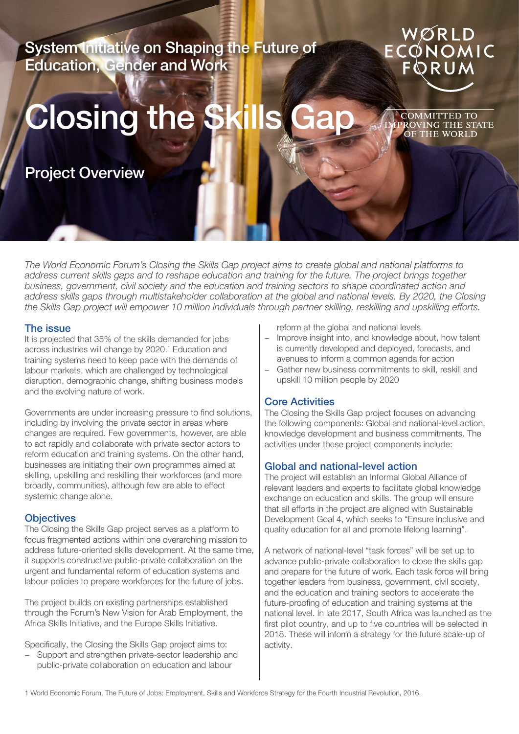System Initiative on Shaping the Future of Education, Gender and Work

# WØRLD<br>ECONOMIC<br>FORUM

**COMMITTED TO ROVING THE STATE** OF THE WORLD

# **Closing the Skills G**

Project Overview

The World Economic Forum's Closing the Skills Gap project aims to create global and national platforms to address current skills gaps and to reshape education and training for the future. The project brings together business, government, civil society and the education and training sectors to shape coordinated action and address skills gaps through multistakeholder collaboration at the global and national levels. By 2020, the Closing the Skills Gap project will empower 10 million individuals through partner skilling, reskilling and upskilling efforts.

#### The issue

It is projected that 35% of the skills demanded for jobs across industries will change by 2020.<sup>1</sup> Education and training systems need to keep pace with the demands of labour markets, which are challenged by technological disruption, demographic change, shifting business models and the evolving nature of work.

Governments are under increasing pressure to find solutions, including by involving the private sector in areas where changes are required. Few governments, however, are able to act rapidly and collaborate with private sector actors to reform education and training systems. On the other hand, businesses are initiating their own programmes aimed at skilling, upskilling and reskilling their workforces (and more broadly, communities), although few are able to effect systemic change alone.

## **Objectives**

The Closing the Skills Gap project serves as a platform to focus fragmented actions within one overarching mission to address future-oriented skills development. At the same time, it supports constructive public-private collaboration on the urgent and fundamental reform of education systems and labour policies to prepare workforces for the future of jobs.

The project builds on existing partnerships established through the Forum's New Vision for Arab Employment, the Africa Skills Initiative, and the Europe Skills Initiative.

Specifically, the Closing the Skills Gap project aims to:

- Support and strengthen private-sector leadership and public-private collaboration on education and labour

reform at the global and national levels

- Improve insight into, and knowledge about, how talent is currently developed and deployed, forecasts, and avenues to inform a common agenda for action
- Gather new business commitments to skill, reskill and upskill 10 million people by 2020

#### Core Activities

The Closing the Skills Gap project focuses on advancing the following components: Global and national-level action, knowledge development and business commitments. The activities under these project components include:

#### Global and national-level action

The project will establish an Informal Global Alliance of relevant leaders and experts to facilitate global knowledge exchange on education and skills. The group will ensure that all efforts in the project are aligned with Sustainable Development Goal 4, which seeks to "Ensure inclusive and quality education for all and promote lifelong learning".

A network of national-level "task forces" will be set up to advance public-private collaboration to close the skills gap and prepare for the future of work. Each task force will bring together leaders from business, government, civil society, and the education and training sectors to accelerate the future-proofing of education and training systems at the national level. In late 2017, South Africa was launched as the first pilot country, and up to five countries will be selected in 2018. These will inform a strategy for the future scale-up of activity.